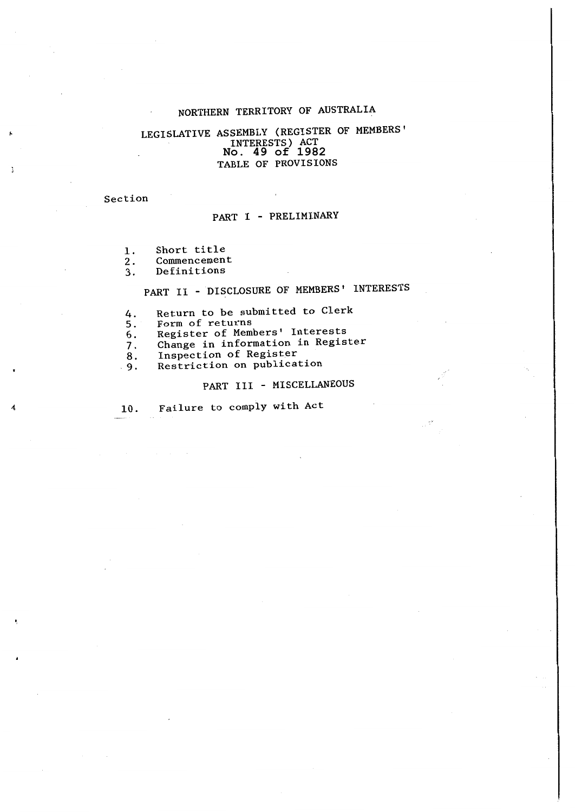## NORTHERN TERRITORY **OF** AUSTRALIA

### **No. 49 of 1982** LEGISLATIVE ASSEMBLY (REGISTER OF MEMBERS' INTERESTS) ACT TABLE OF PROVISIONS

Section

 $\mathbf{I}$ 

### PART I - PRELIMINARY

- 1. Short title
- 2. Commencement

3. Definitions

# PART II - DISCLOSURE OF MEMBERS' INTERESTS

- 4. Return to be submitted to Clerk
- 5. Form of returns

6. Register of Members' Interests

- 7. Change in information in Register<br>8. Inspection of Register
- 
- 8. Inspection of Register<br>9. Restriction on publica Restriction on publication

## PART III - MISCELLANEOUS

10. Failure to comply with Act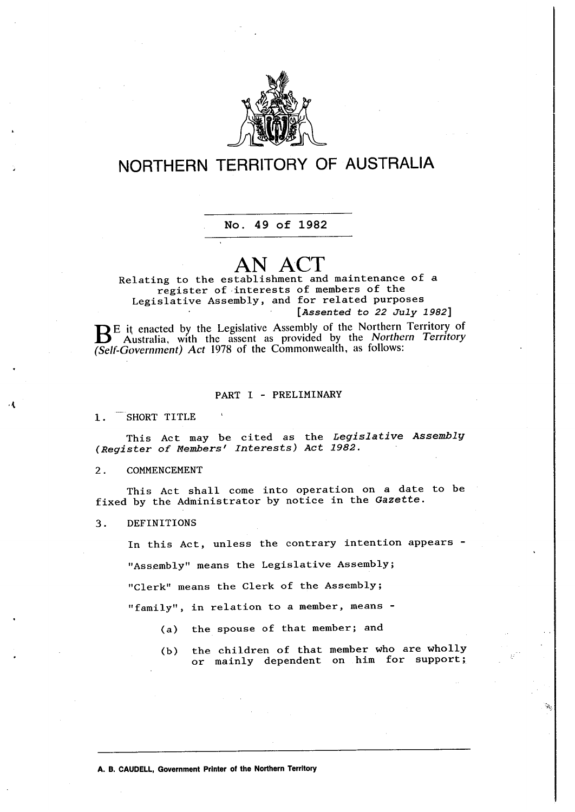

# **NORTHERN TERRITORY OF AUSTRALIA**

**No. 49 of 1982**

# **AN ACT**

**[***Assented to 22 July 1982***]** Relating to the establishment and maintenance of <sup>a</sup> register of -interests of members of the Legislative Assembly, and for related purposes

BE it enacted by the Legislative Assembly of the Northern Territory of Australia, with the assent as provided by the *Northern Territory (Se/f~Government) Act* 1978 of the Commonwealth, as follows:

#### PART I - PRELIMINARY

1. SHORT TITLE

This Act may be cited as the *Legislative Assemblg (Register of Members' Interests) Act 1982.* 

#### 2. COMMENCEMENT

This Act shall come into operation on a date to be fixed by the Administrator by notice in the *Gazette.* 

3. DEFINITIONS

In this Act, unless the contrary intention appears - "Assembly" means the Legislative Assembly; "Clerk" means the Clerk of the Assembly;

"family", in relation to a member, means -

- (a) the spouse of that member; and
- (b) the children of that member who are wholly or mainly dependent on him for support;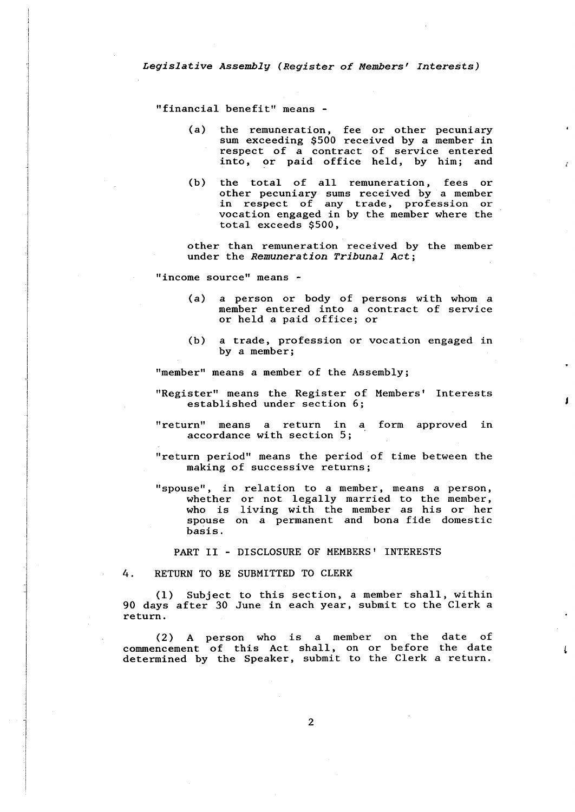"financial benefit" means -

(a) the remuneration, fee or other pecuniary sum exceeding \$500 received by a member in respect of a contract of service entered into, or paid office held, by him; and

 $\mathcal{L}$ 

 $\mathfrak{c}$ 

(b) the total of all remuneration, fees or other pecuniary sums received by a member in respect of any trade, profession or vocation engaged in by the member where the total exceeds \$500,

other than remuneration received by the member under the *Remuneration Tribunal Act;* 

"income source" means -

- (a) a person or body of persons with whom a member entered into a contract of service or held a paid office; or
- (b) *a* trade, profession or vocation engaged in by *a* member;

"member" means *a* member of the Assembly;

- "Register" means the Register of Members' Interests established under section 6;
- "return" means *a* return in *a* form approved in accordance with section 5;
- "return period" means the period of time between the making of successive returns;
- "spouse", in relation to *a* member, means *a* person, whether or not legally married to the member, who is living with the member as his or her spouse on *a* permanent and bona fide domestic basis.

PART II - DISCLOSURE OF MEMBERS' INTERESTS

4. RETURN TO BE SUBMITTED TO CLERK

(1) Subject to this section, *a* member shall, within 90 days after 30 June in each year, submit to the Clerk a return.

(2) A person who is a member on the date of commencement of this Act shall, on or before the date determined by the Speaker, submit to the Clerk a return.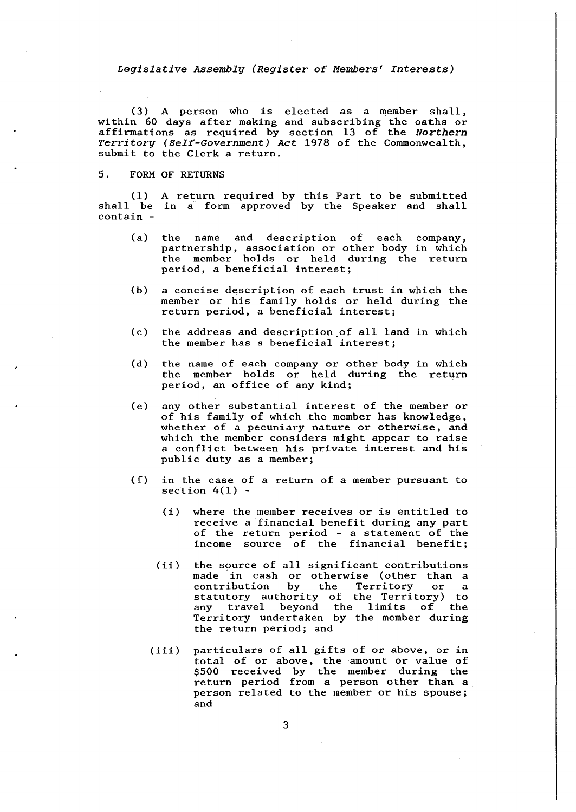(3) A person who is elected as a member shall, within 60 days after making and subscribing the oaths or affirmations as required by section 13 of the *Northern Territory (Self-Government) Act* 1978 of the Commonwealth, submit to the Clerk a return.

### 5. FORM OF RETURNS

(1) shall be contain - A return required by this Part to be submitted in a form approved by the Speaker and shall

- (a) the name and description of each company, partnership, association or other body in which the member holds or held during the return period, a beneficial interest;
- (b) a concise description of each trust in which the member or his family holds or held during the return period, a beneficial interest;
- (c) the address and description.of all land in which the member has a beneficial interest;
- (d) the name of each company or other body in which the member holds or held during the return period, an office of any kind;
- (e) any other substantial interest of the member or of his family of which the member has knowledge, whether of a pecuniary nature or otherwise, and which the member considers might appear to raise a conflict between his private interest and his public duty as a member;
	- (f) in the case of a return of a member pursuant to section  $4(1)$  -
		- (i) where the member receives or is entitled to receive a financial benefit during any part of the return period - a statement of the income source of the financial benefit:
		- $(ii)$ the source of all significant contributions made in cash or otherwise (other than a<br>contribution by the Territory or a contribution by the Territory or a statutory authority of the Territory) to any travel beyond the limits of the Territory undertaken by the member during the return period; and
		- (iii) particulars of all gifts of or above, or **in**  total of or above, the amount or value of \$500 received by the member during the return period from a person other than a person related to the member or his spouse; and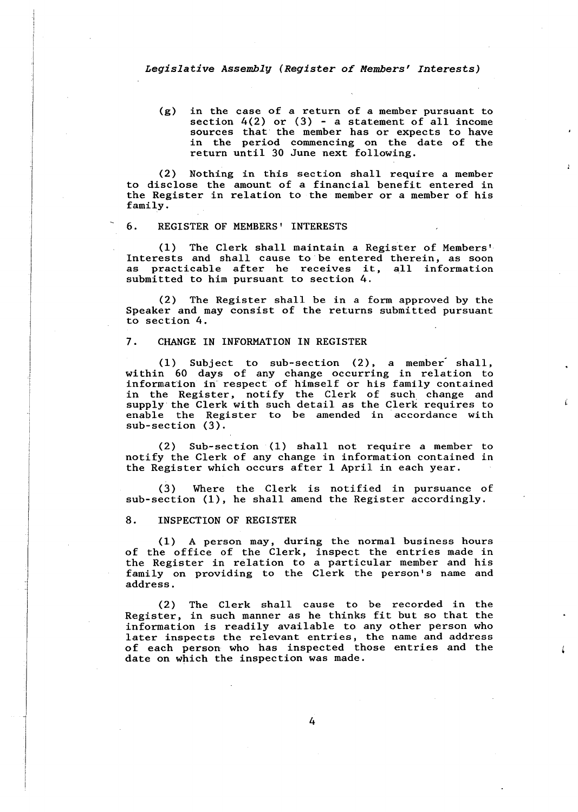(g) in the case of a return of a member pursuant to section  $4(2)$  or  $(3)$  - a statement of all income sources that the member has or expects to have in the period commencing on the date of the return until 30 June next following.

(2) Nothing in this section shall require a member to disclose the amount of a financial benefit entered in the Register in relation to the member or a member of his family.

#### 6. REGISTER OF MEMBERS' INTERESTS

(1) The Clerk shall maintain a Register of Members' Interests and shall cause to be entered therein, as soon as practicable after he receives it, all information submitted to him pursuant to section 4.

(2) The Register shall be in a form approved by the Speaker and may consist of the returns submitted pursuant to section 4.

#### 7. CHANGE IN INFORMATION IN REGISTER

 $(1)$  Subject to sub-section  $(2)$ , a member shall, within 60 days of any change occurring in relation to information in respect of himself or his family contained in the Register, notify the Clerk of such change and supply the Clerk with such detail as the Clerk requires to enable the Register to be amended in accordance with sub-section (3).

(2) Sub-section (1) shall not require a member to notify the Clerk of any change in information contained in the Register which occurs after 1 April in each year.

( 3) Where the Clerk is notified in pursuance of sub-section (1), he shall amend the Register accordingly.

#### 8. INSPECTION OF REGISTER

(1) A person may, during the normal business hours of the office of the Clerk, inspect the entries made in the Register in relation to a particular member and his family on providing to the Clerk the person's name and address.

(2) The Clerk shall cause to be recorded in the Register, in such manner as he thinks fit but so that the information is readily available to any other person who later inspects the relevant entries, the name and address of each person who has inspected those entries and the date on which the inspection was made.